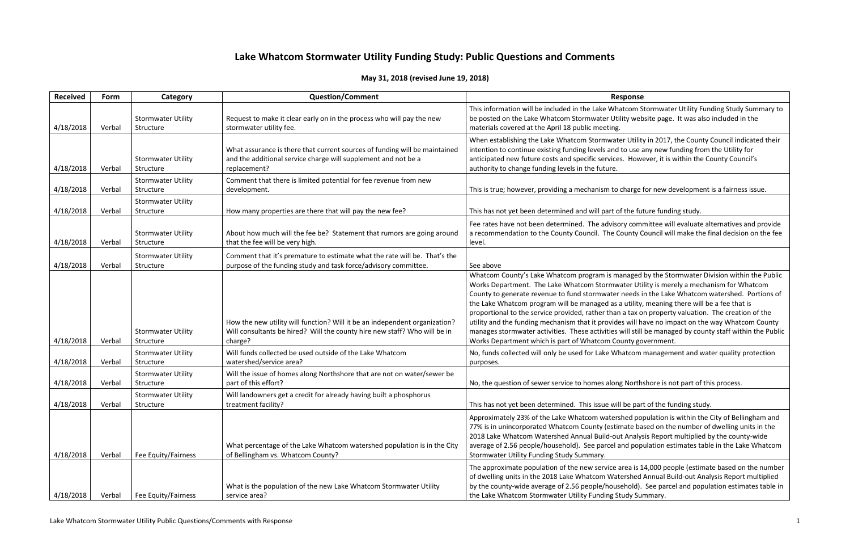atcom Stormwater Utility Funding Study Summary to ity website page. It was also included in the

er Utility in 2017, the County Council indicated their to use any new funding from the Utility for . However, it is within the County Council's

charge for new development is a fairness issue.

the future funding study.

ry committee will evaluate alternatives and provide ounty Council will make the final decision on the fee

maged by the Stormwater Division within the Public Iter Utility is merely a mechanism for Whatcom needs in the Lake Whatcom watershed. Portions of utility, meaning there will be a fee that is a tax on property valuation. The creation of the es will have no impact on the way Whatcom County will still be managed by county staff within the Public unty government.

natcom management and water quality protection

### Northshore is not part of this process.

be part of the funding study.

hed population is within the City of Bellingham and nate based on the number of dwelling units in the Analysis Report multiplied by the county-wide nd population estimates table in the Lake Whatcom

rea is 14,000 people (estimate based on the number ershed Annual Build-out Analysis Report multiplied ehold). See parcel and population estimates table in

# **Lake Whatcom Stormwater Utility Funding Study: Public Questions and Comments**

# **May 31, 2018 (revised June 19, 2018)**

| <b>Received</b> | Form   | Category                               | <b>Question/Comment</b>                                                                                                                                            | <b>Response</b>                                                                                                                                                                                                                                                                                                                                                                                                                                                                                                                      |
|-----------------|--------|----------------------------------------|--------------------------------------------------------------------------------------------------------------------------------------------------------------------|--------------------------------------------------------------------------------------------------------------------------------------------------------------------------------------------------------------------------------------------------------------------------------------------------------------------------------------------------------------------------------------------------------------------------------------------------------------------------------------------------------------------------------------|
| 4/18/2018       | Verbal | <b>Stormwater Utility</b><br>Structure | Request to make it clear early on in the process who will pay the new<br>stormwater utility fee.                                                                   | This information will be included in the Lake Whatcom Stormwa<br>be posted on the Lake Whatcom Stormwater Utility website pag<br>materials covered at the April 18 public meeting.                                                                                                                                                                                                                                                                                                                                                   |
| 4/18/2018       | Verbal | <b>Stormwater Utility</b><br>Structure | What assurance is there that current sources of funding will be maintained<br>and the additional service charge will supplement and not be a<br>replacement?       | When establishing the Lake Whatcom Stormwater Utility in 201<br>intention to continue existing funding levels and to use any new<br>anticipated new future costs and specific services. However, it i<br>authority to change funding levels in the future.                                                                                                                                                                                                                                                                           |
| 4/18/2018       | Verbal | <b>Stormwater Utility</b><br>Structure | Comment that there is limited potential for fee revenue from new<br>development.                                                                                   | This is true; however, providing a mechanism to charge for new                                                                                                                                                                                                                                                                                                                                                                                                                                                                       |
| 4/18/2018       | Verbal | <b>Stormwater Utility</b><br>Structure | How many properties are there that will pay the new fee?                                                                                                           | This has not yet been determined and will part of the future fun                                                                                                                                                                                                                                                                                                                                                                                                                                                                     |
| 4/18/2018       | Verbal | <b>Stormwater Utility</b><br>Structure | About how much will the fee be? Statement that rumors are going around<br>that the fee will be very high.                                                          | Fee rates have not been determined. The advisory committee v<br>a recommendation to the County Council. The County Council v<br>level.                                                                                                                                                                                                                                                                                                                                                                                               |
| 4/18/2018       | Verbal | <b>Stormwater Utility</b><br>Structure | Comment that it's premature to estimate what the rate will be. That's the<br>purpose of the funding study and task force/advisory committee.                       | See above                                                                                                                                                                                                                                                                                                                                                                                                                                                                                                                            |
| 4/18/2018       | Verbal | <b>Stormwater Utility</b><br>Structure | How the new utility will function? Will it be an independent organization?<br>Will consultants be hired? Will the county hire new staff? Who will be in<br>charge? | Whatcom County's Lake Whatcom program is managed by the S<br>Works Department. The Lake Whatcom Stormwater Utility is m<br>County to generate revenue to fund stormwater needs in the La<br>the Lake Whatcom program will be managed as a utility, meanir<br>proportional to the service provided, rather than a tax on prope<br>utility and the funding mechanism that it provides will have no i<br>manages stormwater activities. These activities will still be man<br>Works Department which is part of Whatcom County governme |
| 4/18/2018       | Verbal | <b>Stormwater Utility</b><br>Structure | Will funds collected be used outside of the Lake Whatcom<br>watershed/service area?                                                                                | No, funds collected will only be used for Lake Whatcom manage<br>purposes.                                                                                                                                                                                                                                                                                                                                                                                                                                                           |
| 4/18/2018       | Verbal | <b>Stormwater Utility</b><br>Structure | Will the issue of homes along Northshore that are not on water/sewer be<br>part of this effort?                                                                    | No, the question of sewer service to homes along Northshore is                                                                                                                                                                                                                                                                                                                                                                                                                                                                       |
| 4/18/2018       | Verbal | <b>Stormwater Utility</b><br>Structure | Will landowners get a credit for already having built a phosphorus<br>treatment facility?                                                                          | This has not yet been determined. This issue will be part of the                                                                                                                                                                                                                                                                                                                                                                                                                                                                     |
| 4/18/2018       | Verbal | Fee Equity/Fairness                    | What percentage of the Lake Whatcom watershed population is in the City<br>of Bellingham vs. Whatcom County?                                                       | Approximately 23% of the Lake Whatcom watershed populatior<br>77% is in unincorporated Whatcom County (estimate based on t<br>2018 Lake Whatcom Watershed Annual Build-out Analysis Repo<br>average of 2.56 people/household). See parcel and population<br>Stormwater Utility Funding Study Summary.                                                                                                                                                                                                                                |
| 4/18/2018       | Verbal | Fee Equity/Fairness                    | What is the population of the new Lake Whatcom Stormwater Utility<br>service area?                                                                                 | The approximate population of the new service area is 14,000 p<br>of dwelling units in the 2018 Lake Whatcom Watershed Annual<br>by the county-wide average of 2.56 people/household). See pa<br>the Lake Whatcom Stormwater Utility Funding Study Summary.                                                                                                                                                                                                                                                                          |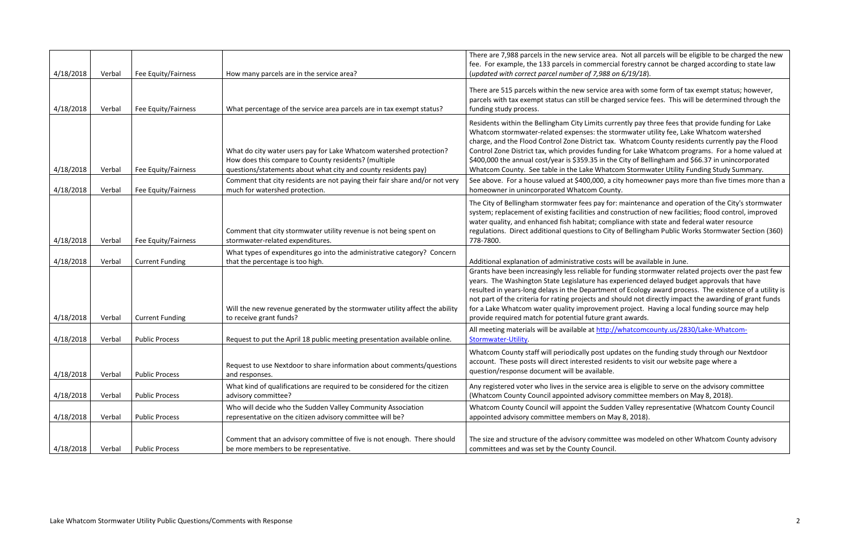Not all parcels will be eligible to be charged the new forestry cannot be charged according to state law (*updated with correct parcel number of 7,988 on 6/19/18*).

a with some form of tax exempt status; however, ed service fees. This will be determined through the

ntly pay three fees that provide funding for Lake mwater utility fee, Lake Whatcom watershed Whatcom County residents currently pay the Flood for Lake Whatcom programs. For a home valued at City of Bellingham and \$66.37 in unincorporated m Stormwater Utility Funding Study Summary.

y homeowner pays more than five times more than a

maintenance and operation of the City's stormwater istruction of new facilities; flood control, improved ance with state and federal water resource Bellingham Public Works Stormwater Section (360)

that the available in June.

nding stormwater related projects over the past few erienced delayed budget approvals that have of Ecology award process. The existence of a utility is puld not directly impact the awarding of grant funds project. Having a local funding source may help provide required in

hatcomcounty us/2830/Lake-Whatcom-

ates on the funding study through our Nextdoor ents to visit our website page where a

is eligible to serve on the advisory committee mmittee members on May 8, 2018).

Walley representative (Whatcom County Council  $8, 2018$ ).

was modeled on other Whatcom County advisory

| 4/18/2018 | Verbal | Fee Equity/Fairness    | How many parcels are in the service area?                                                                                                                                                     | There are 7,988 parcels in the new service area. N<br>fee. For example, the 133 parcels in commercial f<br>(updated with correct parcel number of 7,988 on 6                                                                                                                                                                  |
|-----------|--------|------------------------|-----------------------------------------------------------------------------------------------------------------------------------------------------------------------------------------------|-------------------------------------------------------------------------------------------------------------------------------------------------------------------------------------------------------------------------------------------------------------------------------------------------------------------------------|
| 4/18/2018 | Verbal | Fee Equity/Fairness    | What percentage of the service area parcels are in tax exempt status?                                                                                                                         | There are 515 parcels within the new service area<br>parcels with tax exempt status can still be charged<br>funding study process.                                                                                                                                                                                            |
| 4/18/2018 | Verbal | Fee Equity/Fairness    | What do city water users pay for Lake Whatcom watershed protection?<br>How does this compare to County residents? (multiple<br>questions/statements about what city and county residents pay) | Residents within the Bellingham City Limits curren<br>Whatcom stormwater-related expenses: the storn<br>charge, and the Flood Control Zone District tax. W<br>Control Zone District tax, which provides funding f<br>\$400,000 the annual cost/year is \$359.35 in the Ci<br>Whatcom County. See table in the Lake Whatcom    |
| 4/18/2018 | Verbal | Fee Equity/Fairness    | Comment that city residents are not paying their fair share and/or not very<br>much for watershed protection.                                                                                 | See above. For a house valued at \$400,000, a city<br>homeowner in unincorporated Whatcom County.                                                                                                                                                                                                                             |
| 4/18/2018 | Verbal | Fee Equity/Fairness    | Comment that city stormwater utility revenue is not being spent on<br>stormwater-related expenditures.                                                                                        | The City of Bellingham stormwater fees pay for: m<br>system; replacement of existing facilities and cons<br>water quality, and enhanced fish habitat; compliar<br>regulations. Direct additional questions to City of<br>778-7800.                                                                                            |
| 4/18/2018 | Verbal | <b>Current Funding</b> | What types of expenditures go into the administrative category? Concern<br>that the percentage is too high.                                                                                   | Additional explanation of administrative costs will                                                                                                                                                                                                                                                                           |
| 4/18/2018 | Verbal | <b>Current Funding</b> | Will the new revenue generated by the stormwater utility affect the ability<br>to receive grant funds?                                                                                        | Grants have been increasingly less reliable for fun<br>years. The Washington State Legislature has expe<br>resulted in years-long delays in the Department of<br>not part of the criteria for rating projects and shou<br>for a Lake Whatcom water quality improvement p<br>provide required match for potential future grant |
| 4/18/2018 | Verbal | <b>Public Process</b>  | Request to put the April 18 public meeting presentation available online.                                                                                                                     | All meeting materials will be available at http://wl<br>Stormwater-Utility.                                                                                                                                                                                                                                                   |
| 4/18/2018 | Verbal | <b>Public Process</b>  | Request to use Nextdoor to share information about comments/questions<br>and responses.                                                                                                       | Whatcom County staff will periodically post updat<br>account. These posts will direct interested resider<br>question/response document will be available.                                                                                                                                                                     |
| 4/18/2018 | Verbal | <b>Public Process</b>  | What kind of qualifications are required to be considered for the citizen<br>advisory committee?                                                                                              | Any registered voter who lives in the service area<br>(Whatcom County Council appointed advisory con                                                                                                                                                                                                                          |
| 4/18/2018 | Verbal | <b>Public Process</b>  | Who will decide who the Sudden Valley Community Association<br>representative on the citizen advisory committee will be?                                                                      | Whatcom County Council will appoint the Sudden<br>appointed advisory committee members on May &                                                                                                                                                                                                                               |
| 4/18/2018 | Verbal | <b>Public Process</b>  | Comment that an advisory committee of five is not enough. There should<br>be more members to be representative.                                                                               | The size and structure of the advisory committee \<br>committees and was set by the County Council.                                                                                                                                                                                                                           |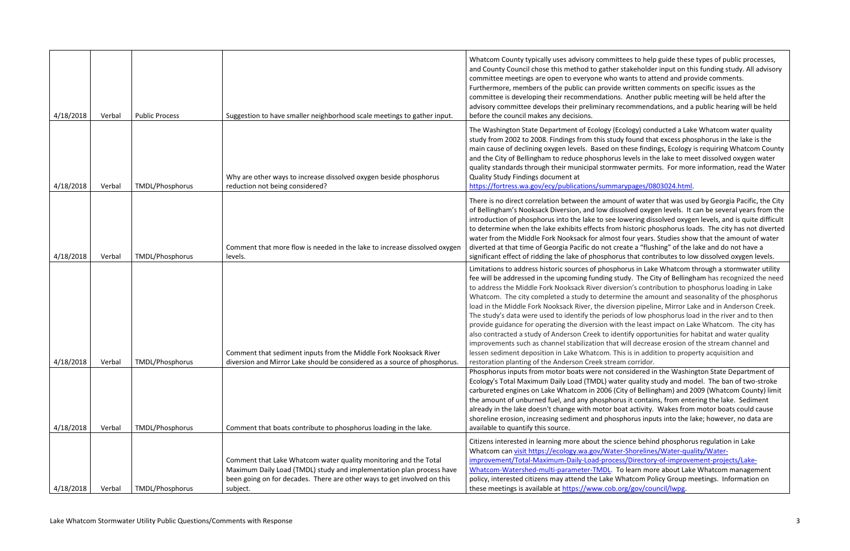ees to help guide these types of public processes, takeholder input on this funding study. All advisory vants to attend and provide comments. written comments on specific issues as the Another public meeting will be held after the commendations, and a public hearing will be held

ology) conducted a Lake Whatcom water quality  $\alpha$  found that excess phosphorus in the lake is the these findings, Ecology is requiring Whatcom County levels in the lake to meet dissolved oxygen water vater permits. For more information, read the Water

## rypages/0803024.html

It of water that was used by Georgia Pacific, the City olved oxygen levels. It can be several years from the wering dissolved oxygen levels, and is quite difficult historic phosphorus loads. The city has not diverted four years. Studies show that the amount of water ate a "flushing" of the lake and do not have a s that contributes to low dissolved oxygen levels.

orus in Lake Whatcom through a stormwater utility idy. The City of Bellingham has recognized the need ion's contribution to phosphorus loading in Lake ine the amount and seasonality of the phosphorus sion pipeline, Mirror Lake and in Anderson Creek. s of low phosphorus load in the river and to then the least impact on Lake Whatcom. The city has ntify opportunities for habitat and water quality will decrease erosion of the stream channel and is is in addition to property acquisition and n corridor.

Insidered in the Washington State Department of er quality study and model. The ban of two-stroke ty of Bellingham) and 2009 (Whatcom County) limit is it contains, from entering the lake. Sediment at activity. Wakes from motor boats could cause horus inputs into the lake; however, no data are

ence behind phosphorus regulation in Lake Shorelines/Water-quality/Water-

s/Directory-of-improvement-projects/Lake-

learn more about Lake Whatcom management hatcom Policy Group meetings. Information on rg/gov/council/lwpg.

| 4/18/2018              | Verbal           | <b>Public Process</b>                     | Suggestion to have smaller neighborhood scale meetings to gather input.                                                                                                                                                         | Whatcom County typically uses advisory committ<br>and County Council chose this method to gather s<br>committee meetings are open to everyone who w<br>Furthermore, members of the public can provide<br>committee is developing their recommendations.<br>advisory committee develops their preliminary re<br>before the council makes any decisions.                                                                                                                                                                                     |
|------------------------|------------------|-------------------------------------------|---------------------------------------------------------------------------------------------------------------------------------------------------------------------------------------------------------------------------------|--------------------------------------------------------------------------------------------------------------------------------------------------------------------------------------------------------------------------------------------------------------------------------------------------------------------------------------------------------------------------------------------------------------------------------------------------------------------------------------------------------------------------------------------|
| 4/18/2018              | Verbal           | <b>TMDL/Phosphorus</b>                    | Why are other ways to increase dissolved oxygen beside phosphorus<br>reduction not being considered?                                                                                                                            | The Washington State Department of Ecology (Ec<br>study from 2002 to 2008. Findings from this study<br>main cause of declining oxygen levels. Based on t<br>and the City of Bellingham to reduce phosphorus<br>quality standards through their municipal stormw<br>Quality Study Findings document at<br>https://fortress.wa.gov/ecy/publications/summar                                                                                                                                                                                   |
| 4/18/2018              | Verbal           | <b>TMDL/Phosphorus</b>                    | Comment that more flow is needed in the lake to increase dissolved oxygen<br>levels.                                                                                                                                            | There is no direct correlation between the amour<br>of Bellingham's Nooksack Diversion, and low disso<br>introduction of phosphorus into the lake to see lo<br>to determine when the lake exhibits effects from<br>water from the Middle Fork Nooksack for almost<br>diverted at that time of Georgia Pacific do not cre<br>significant effect of ridding the lake of phosphoru                                                                                                                                                            |
|                        |                  |                                           | Comment that sediment inputs from the Middle Fork Nooksack River<br>diversion and Mirror Lake should be considered as a source of phosphorus.                                                                                   | Limitations to address historic sources of phospho<br>fee will be addressed in the upcoming funding stu<br>to address the Middle Fork Nooksack River divers<br>Whatcom. The city completed a study to determi<br>load in the Middle Fork Nooksack River, the diver<br>The study's data were used to identify the period.<br>provide guidance for operating the diversion with<br>also contracted a study of Anderson Creek to ider<br>improvements such as channel stabilization that v<br>lessen sediment deposition in Lake Whatcom. Thi |
| 4/18/2018<br>4/18/2018 | Verbal<br>Verbal | TMDL/Phosphorus<br><b>TMDL/Phosphorus</b> | Comment that boats contribute to phosphorus loading in the lake.                                                                                                                                                                | restoration planting of the Anderson Creek strear<br>Phosphorus inputs from motor boats were not co<br>Ecology's Total Maximum Daily Load (TMDL) wate<br>carbureted engines on Lake Whatcom in 2006 (Cit<br>the amount of unburned fuel, and any phosphoru<br>already in the lake doesn't change with motor boa<br>shoreline erosion, increasing sediment and phosp<br>available to quantify this source.                                                                                                                                  |
| 4/18/2018              | Verbal           | TMDL/Phosphorus                           | Comment that Lake Whatcom water quality monitoring and the Total<br>Maximum Daily Load (TMDL) study and implementation plan process have<br>been going on for decades. There are other ways to get involved on this<br>subject. | Citizens interested in learning more about the scie<br>Whatcom can visit https://ecology.wa.gov/Water<br>improvement/Total-Maximum-Daily-Load-proces<br>Whatcom-Watershed-multi-parameter-TMDL. To<br>policy, interested citizens may attend the Lake WI<br>these meetings is available at https://www.cob.or                                                                                                                                                                                                                              |